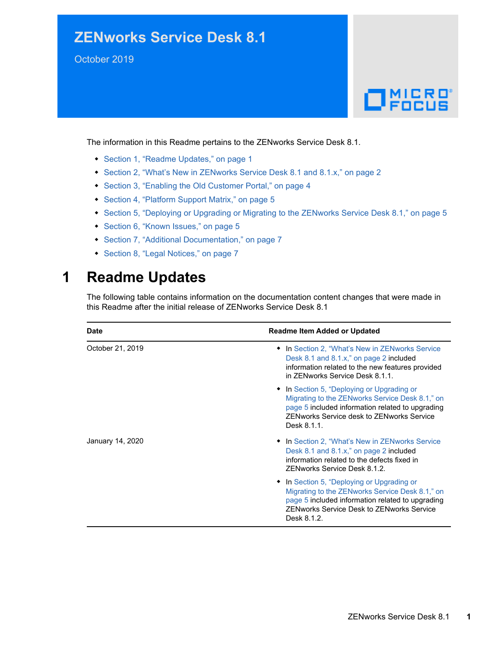## **ZENworks Service Desk 8.1**

October 2019



The information in this Readme pertains to the ZENworks Service Desk 8.1.

- [Section 1, "Readme Updates," on page 1](#page-0-0)
- [Section 2, "What's New in ZENworks Service Desk 8.1 and 8.1.x," on page 2](#page-1-0)
- [Section 3, "Enabling the Old Customer Portal," on page 4](#page-3-0)
- [Section 4, "Platform Support Matrix," on page 5](#page-4-2)
- [Section 5, "Deploying or Upgrading or Migrating to the ZENworks Service Desk 8.1," on page 5](#page-4-1)
- [Section 6, "Known Issues," on page 5](#page-4-0)
- [Section 7, "Additional Documentation," on page 7](#page-6-0)
- [Section 8, "Legal Notices," on page 7](#page-6-1)

## <span id="page-0-0"></span>**1 Readme Updates**

The following table contains information on the documentation content changes that were made in this Readme after the initial release of ZENworks Service Desk 8.1

| Date             | <b>Readme Item Added or Updated</b>                                                                                                                                                                                  |
|------------------|----------------------------------------------------------------------------------------------------------------------------------------------------------------------------------------------------------------------|
| October 21, 2019 | • In Section 2, "What's New in ZENworks Service<br>Desk 8.1 and 8.1.x," on page 2 included<br>information related to the new features provided<br>in ZFNworks Service Desk 8.1.1.                                    |
|                  | • In Section 5, "Deploying or Upgrading or<br>Migrating to the ZENworks Service Desk 8.1," on<br>page 5 included information related to upgrading<br><b>ZENworks Service desk to ZENworks Service</b><br>Desk 8.1.1. |
| January 14, 2020 | • In Section 2, "What's New in ZENworks Service<br>Desk 8.1 and 8.1.x," on page 2 included<br>information related to the defects fixed in<br>ZENworks Service Desk 8.1.2.                                            |
|                  | • In Section 5, "Deploying or Upgrading or<br>Migrating to the ZENworks Service Desk 8.1," on<br>page 5 included information related to upgrading<br><b>ZENworks Service Desk to ZENworks Service</b><br>Desk 8.1.2. |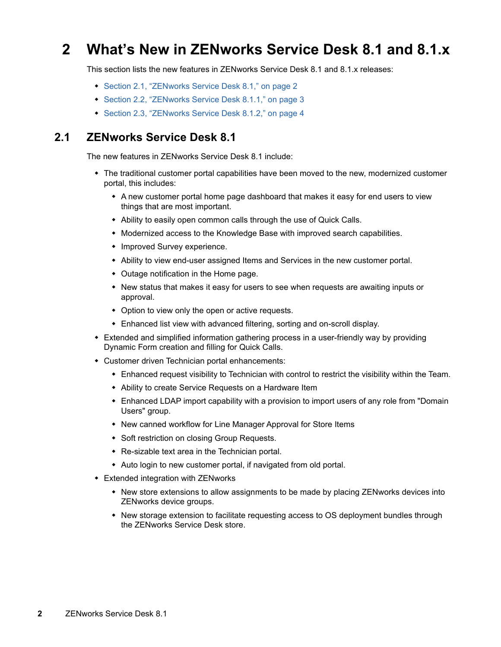## <span id="page-1-0"></span>**2 What's New in ZENworks Service Desk 8.1 and 8.1.x**

This section lists the new features in ZENworks Service Desk 8.1 and 8.1.x releases:

- [Section 2.1, "ZENworks Service Desk 8.1," on page 2](#page-1-1)
- [Section 2.2, "ZENworks Service Desk 8.1.1," on page 3](#page-2-0)
- ◆ [Section 2.3, "ZENworks Service Desk 8.1.2," on page 4](#page-3-1)

#### <span id="page-1-1"></span>**2.1 ZENworks Service Desk 8.1**

The new features in ZENworks Service Desk 8.1 include:

- The traditional customer portal capabilities have been moved to the new, modernized customer portal, this includes:
	- A new customer portal home page dashboard that makes it easy for end users to view things that are most important.
	- Ability to easily open common calls through the use of Quick Calls.
	- Modernized access to the Knowledge Base with improved search capabilities.
	- Improved Survey experience.
	- Ability to view end-user assigned Items and Services in the new customer portal.
	- Outage notification in the Home page.
	- New status that makes it easy for users to see when requests are awaiting inputs or approval.
	- Option to view only the open or active requests.
	- Enhanced list view with advanced filtering, sorting and on-scroll display.
- Extended and simplified information gathering process in a user-friendly way by providing Dynamic Form creation and filling for Quick Calls.
- Customer driven Technician portal enhancements:
	- Enhanced request visibility to Technician with control to restrict the visibility within the Team.
	- Ability to create Service Requests on a Hardware Item
	- Enhanced LDAP import capability with a provision to import users of any role from "Domain Users" group.
	- New canned workflow for Line Manager Approval for Store Items
	- Soft restriction on closing Group Requests.
	- Re-sizable text area in the Technician portal.
	- Auto login to new customer portal, if navigated from old portal.
- Extended integration with ZENworks
	- New store extensions to allow assignments to be made by placing ZENworks devices into ZENworks device groups.
	- New storage extension to facilitate requesting access to OS deployment bundles through the ZENworks Service Desk store.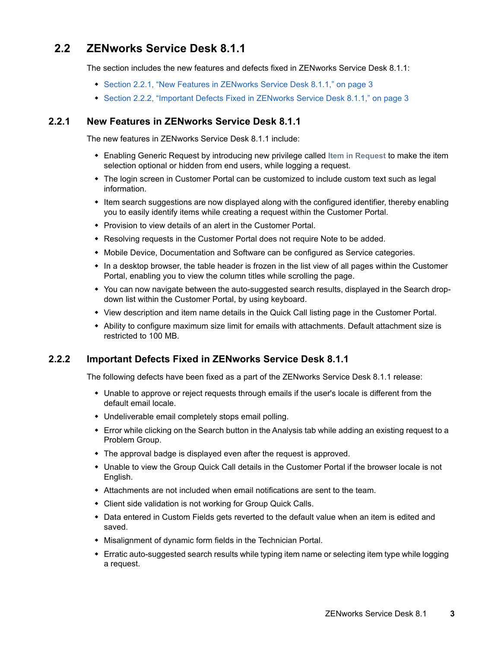### <span id="page-2-0"></span>**2.2 ZENworks Service Desk 8.1.1**

The section includes the new features and defects fixed in ZENworks Service Desk 8.1.1:

- [Section 2.2.1, "New Features in ZENworks Service Desk 8.1.1," on page 3](#page-2-1)
- [Section 2.2.2, "Important Defects Fixed in ZENworks Service Desk 8.1.1," on page 3](#page-2-2)

#### <span id="page-2-1"></span>**2.2.1 New Features in ZENworks Service Desk 8.1.1**

The new features in ZENworks Service Desk 8.1.1 include:

- Enabling Generic Request by introducing new privilege called **Item in Request** to make the item selection optional or hidden from end users, while logging a request.
- The login screen in Customer Portal can be customized to include custom text such as legal information.
- Item search suggestions are now displayed along with the configured identifier, thereby enabling you to easily identify items while creating a request within the Customer Portal.
- Provision to view details of an alert in the Customer Portal.
- Resolving requests in the Customer Portal does not require Note to be added.
- Mobile Device, Documentation and Software can be configured as Service categories.
- In a desktop browser, the table header is frozen in the list view of all pages within the Customer Portal, enabling you to view the column titles while scrolling the page.
- You can now navigate between the auto-suggested search results, displayed in the Search dropdown list within the Customer Portal, by using keyboard.
- View description and item name details in the Quick Call listing page in the Customer Portal.
- Ability to configure maximum size limit for emails with attachments. Default attachment size is restricted to 100 MB.

#### <span id="page-2-2"></span>**2.2.2 Important Defects Fixed in ZENworks Service Desk 8.1.1**

The following defects have been fixed as a part of the ZENworks Service Desk 8.1.1 release:

- Unable to approve or reject requests through emails if the user's locale is different from the default email locale.
- Undeliverable email completely stops email polling.
- Error while clicking on the Search button in the Analysis tab while adding an existing request to a Problem Group.
- The approval badge is displayed even after the request is approved.
- Unable to view the Group Quick Call details in the Customer Portal if the browser locale is not English.
- Attachments are not included when email notifications are sent to the team.
- Client side validation is not working for Group Quick Calls.
- Data entered in Custom Fields gets reverted to the default value when an item is edited and saved.
- Misalignment of dynamic form fields in the Technician Portal.
- Erratic auto-suggested search results while typing item name or selecting item type while logging a request.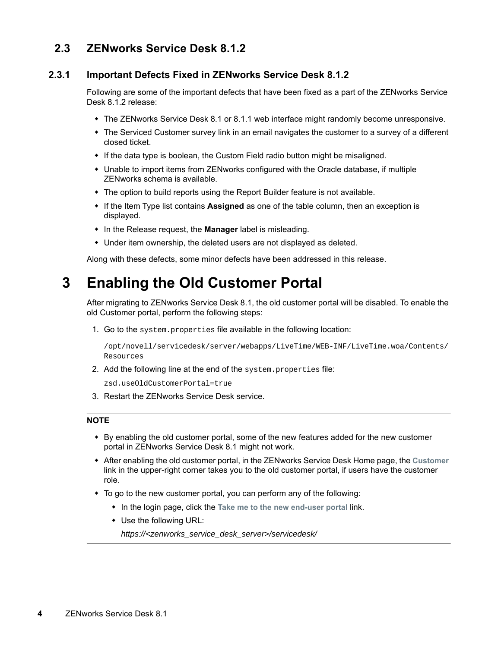#### <span id="page-3-1"></span>**2.3 ZENworks Service Desk 8.1.2**

#### **2.3.1 Important Defects Fixed in ZENworks Service Desk 8.1.2**

Following are some of the important defects that have been fixed as a part of the ZENworks Service Desk 8.1.2 release:

- The ZENworks Service Desk 8.1 or 8.1.1 web interface might randomly become unresponsive.
- The Serviced Customer survey link in an email navigates the customer to a survey of a different closed ticket.
- If the data type is boolean, the Custom Field radio button might be misaligned.
- Unable to import items from ZENworks configured with the Oracle database, if multiple ZENworks schema is available.
- The option to build reports using the Report Builder feature is not available.
- If the Item Type list contains **Assigned** as one of the table column, then an exception is displayed.
- In the Release request, the **Manager** label is misleading.
- Under item ownership, the deleted users are not displayed as deleted.

Along with these defects, some minor defects have been addressed in this release.

## <span id="page-3-0"></span>**3 Enabling the Old Customer Portal**

After migrating to ZENworks Service Desk 8.1, the old customer portal will be disabled. To enable the old Customer portal, perform the following steps:

1. Go to the system.properties file available in the following location:

/opt/novell/servicedesk/server/webapps/LiveTime/WEB-INF/LiveTime.woa/Contents/ Resources

2. Add the following line at the end of the system.properties file:

zsd.useOldCustomerPortal=true

3. Restart the ZENworks Service Desk service.

#### **NOTE**

- By enabling the old customer portal, some of the new features added for the new customer portal in ZENworks Service Desk 8.1 might not work.
- After enabling the old customer portal, in the ZENworks Service Desk Home page, the **Customer** link in the upper-right corner takes you to the old customer portal, if users have the customer role.
- To go to the new customer portal, you can perform any of the following:
	- In the login page, click the **Take me to the new end-user portal** link.
	- Use the following URL:

*https://<zenworks\_service\_desk\_server>/servicedesk/*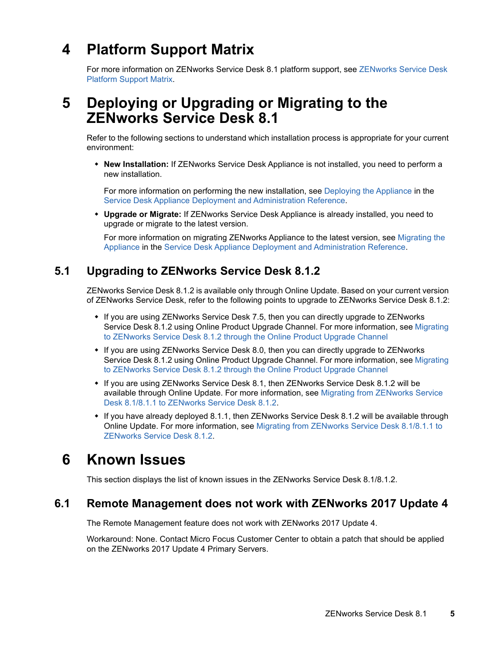# <span id="page-4-2"></span>**4 Platform Support Matrix**

For more information on ZENworks Service Desk 8.1 platform support, see [ZENworks Service Desk](https://www.novell.com/documentation/zenworks-service-desk-81/service_desk_platform_support/data/service_desk_platform_support.html)  [Platform Support Matrix.](https://www.novell.com/documentation/zenworks-service-desk-81/service_desk_platform_support/data/service_desk_platform_support.html)

## <span id="page-4-1"></span>**5 Deploying or Upgrading or Migrating to the ZENworks Service Desk 8.1**

Refer to the following sections to understand which installation process is appropriate for your current environment:

 **New Installation:** If ZENworks Service Desk Appliance is not installed, you need to perform a new installation.

For more information on performing the new installation, see [Deploying the Appliance](https://www.novell.com/documentation/servicedesk-75/pdfdoc/service_desk_appliance/service_desk_appliance.pdf#bb1nakx) in the [Service Desk Appliance Deployment and Administration Reference.](https://www.novell.com/documentation/servicedesk-75/pdfdoc/service_desk_appliance/service_desk_appliance.pdf#bookinfo)

 **Upgrade or Migrate:** If ZENworks Service Desk Appliance is already installed, you need to upgrade or migrate to the latest version.

For more information on migrating ZENworks Appliance to the latest version, see [Migrating the](https://www.novell.com/documentation/servicedesk-75/pdfdoc/service_desk_appliance/service_desk_appliance.pdf#byn6iwd)  Appliance in the [Service Desk Appliance Deployment and Administration Reference.](https://www.novell.com/documentation/servicedesk-75/pdfdoc/service_desk_appliance/service_desk_appliance.pdf#bookinfo)

## **5.1 Upgrading to ZENworks Service Desk 8.1.2**

ZENworks Service Desk 8.1.2 is available only through Online Update. Based on your current version of ZENworks Service Desk, refer to the following points to upgrade to ZENworks Service Desk 8.1.2:

- If you are using ZENworks Service Desk 7.5, then you can directly upgrade to ZENworks Service Desk 8.1.2 using Online Product Upgrade Channel. For more information, see [Migrating](https://www.novell.com/documentation/servicedesk-75/pdfdoc/service_desk_appliance/service_desk_appliance.pdf#t47xbv0figlg)  to ZENworks Service Desk 8.1.2 through the Online Product Upgrade Channel
- If you are using ZENworks Service Desk 8.0, then you can directly upgrade to ZENworks Service Desk 8.1.2 using Online Product Upgrade Channel. For more information, see [Migrating](https://www.novell.com/documentation/servicedesk-75/pdfdoc/service_desk_appliance/service_desk_appliance.pdf#t4a1awer8juf)  to ZENworks Service Desk 8.1.2 through the Online Product Upgrade Channel
- If you are using ZENworks Service Desk 8.1, then ZENworks Service Desk 8.1.2 will be available through Online Update. For more information, see [Migrating from ZENworks Service](https://www.novell.com/documentation/servicedesk-75/pdfdoc/service_desk_appliance/service_desk_appliance.pdf#t4ar2kky41vh)  Desk 8.1/8.1.1 to ZENworks Service Desk 8.1.2.
- If you have already deployed 8.1.1, then ZENworks Service Desk 8.1.2 will be available through Online Update. For more information, see [Migrating from ZENworks Service Desk 8.1/8.1.1 to](https://www.novell.com/documentation/servicedesk-75/pdfdoc/service_desk_appliance/service_desk_appliance.pdf#t4ar2kky41vh)  ZENworks Service Desk 8.1.2.

## <span id="page-4-0"></span>**6 Known Issues**

This section displays the list of known issues in the ZENworks Service Desk 8.1/8.1.2.

#### **6.1 Remote Management does not work with ZENworks 2017 Update 4**

The Remote Management feature does not work with ZENworks 2017 Update 4.

Workaround: None. Contact Micro Focus Customer Center to obtain a patch that should be applied on the ZENworks 2017 Update 4 Primary Servers.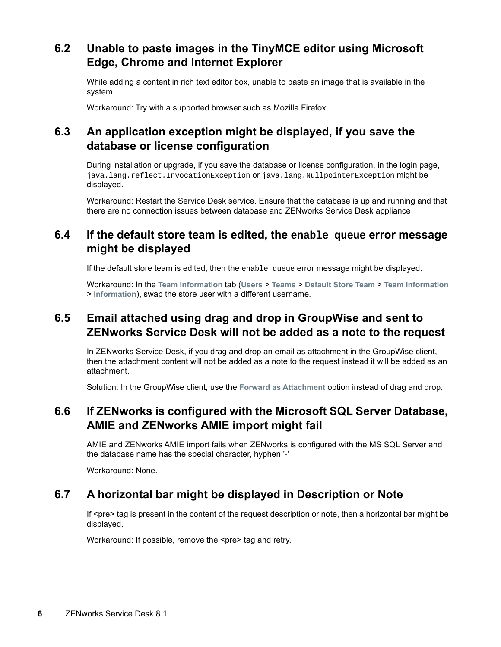## **6.2 Unable to paste images in the TinyMCE editor using Microsoft Edge, Chrome and Internet Explorer**

While adding a content in rich text editor box, unable to paste an image that is available in the system.

Workaround: Try with a supported browser such as Mozilla Firefox.

## **6.3 An application exception might be displayed, if you save the database or license configuration**

During installation or upgrade, if you save the database or license configuration, in the login page, java.lang.reflect.InvocationException or java.lang.NullpointerException might be displayed.

Workaround: Restart the Service Desk service. Ensure that the database is up and running and that there are no connection issues between database and ZENworks Service Desk appliance

### **6.4 If the default store team is edited, the enable queue error message might be displayed**

If the default store team is edited, then the enable queue error message might be displayed.

Workaround: In the **Team Information** tab (**Users** > **Teams** > **Default Store Team** > **Team Information** > **Information**), swap the store user with a different username.

### **6.5 Email attached using drag and drop in GroupWise and sent to ZENworks Service Desk will not be added as a note to the request**

In ZENworks Service Desk, if you drag and drop an email as attachment in the GroupWise client, then the attachment content will not be added as a note to the request instead it will be added as an attachment.

Solution: In the GroupWise client, use the **Forward as Attachment** option instead of drag and drop.

## **6.6 If ZENworks is configured with the Microsoft SQL Server Database, AMIE and ZENworks AMIE import might fail**

AMIE and ZENworks AMIE import fails when ZENworks is configured with the MS SQL Server and the database name has the special character, hyphen '-'

Workaround: None.

## **6.7 A horizontal bar might be displayed in Description or Note**

If <pre> tag is present in the content of the request description or note, then a horizontal bar might be displayed.

Workaround: If possible, remove the <pre> tag and retry.